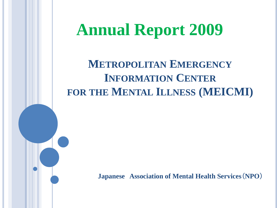# **Annual Report 2009**

**METROPOLITAN EMERGENCY INFORMATION CENTER FOR THE MENTAL ILLNESS (MEICMI)**

**Japanese Association of Mental Health Services**(**NPO**)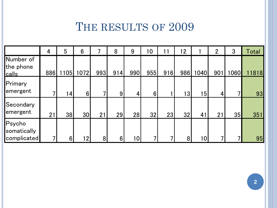#### THE RESULTS OF 2009

|                                      | 4   | 5               | $6\phantom{1}$  | 7   | 8   | 9   | 10             | 11  | 12              |      | $\overline{2}$ | 3    | Total |
|--------------------------------------|-----|-----------------|-----------------|-----|-----|-----|----------------|-----|-----------------|------|----------------|------|-------|
| Number of<br>the phone<br>calls      | 886 | 1105            | 1072            | 993 | 914 | 990 | 955            | 916 | 986             | 1040 | 901            | 1060 | 11818 |
| Primary<br>emergent                  | ┑   | 14 <sub>1</sub> | 6 <sub>l</sub>  | ⇁   | 9   | 4   | 6 <sup>1</sup> |     | 13 <sub>1</sub> | 15   | 4              | 7    | 93    |
| Secondary<br>emergent                | 21  | 38              | 30 <sup>1</sup> | 21  | 29  | 28  | 32             | 23  | 32              | 41   | 21             | 35   | 351   |
| Psycho<br>somatically<br>complicated | ┑   | $6\phantom{1}$  | 12              | 8   | 6   | 10  |                | 7   | 8               | 10   |                | ┑    | 95    |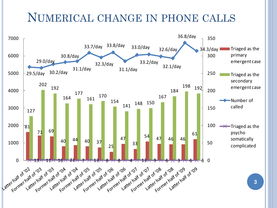#### NUMERICAL CHANGE IN PHONE CALLS

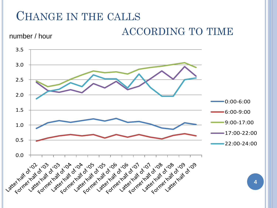# CHANGE IN THE CALLS

ACCORDING TO TIME



number / hour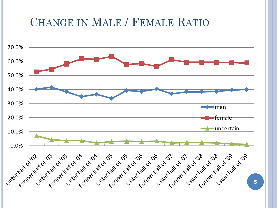#### CHANGE IN MALE / FEMALE RATIO

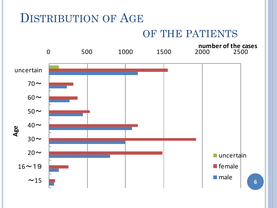### DISTRIBUTION OF AGE

#### OF THE PATIENTS

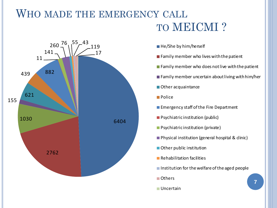# WHO MADE THE EMERGENCY CALL



# TO MEICMI ?

- He/She by him/herself
- $\blacksquare$  Family member who lives with the patient
- $\blacksquare$  Family member who does not live with the patient
- Family member uncertain about living with him/her
- Other acquaintance
- **Police**
- **Emergency staff of the Fire Department**
- **Psychiatric institution (public)**
- **Psychiatric institution (private)**
- **Physical institution (general hospital & clinic)**
- Other public institution
- **Rehabilitation facilities**
- $\blacksquare$  Institution for the welfare of the aged people
- **Others**
- **Uncertain**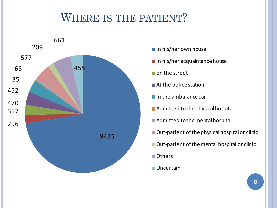#### WHERE IS THE PATIENT?



- **in his/her own house**
- in his/her acquaintance house
- on the street
- At the police station
- $\blacksquare$  In the ambulance car
- **Admitted to the physical hospital**
- Admitted to the mental hospital
- $\blacksquare$  Out-patient of the physical hospital or clinic
- **Out-patient of the mental hospital or clinic**
- **Others**
- **Uncertain**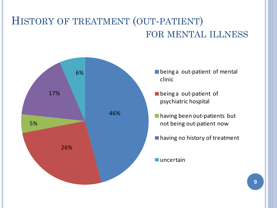#### HISTORY OF TREATMENT (OUT-PATIENT) FOR MENTAL ILLNESS



- 6% **being a out-patient of mental** clinic
	- being a out-patient of psychiatric hospital
	- **having been out-patients but** not being out-patient now
	- having no history of treatment

**L**uncertain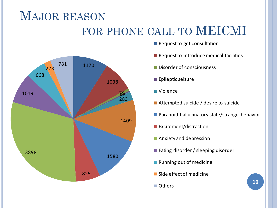# MAJOR REASON FOR PHONE CALL TO MEICMI



- Request to get consultation
- Request to introduce medical facilities
- **Disorder of consciousness**
- **Epileptic seizure**
- Violence
- Attempted suicide / desire to suicide
- Paranoid-hallucinatory state/strange behavior
- **Excitement/distraction**
- **Anxiety and depression**
- Eating disorder / sleeping disorder
- Running out of medicine
- Side effect of medicine
- Others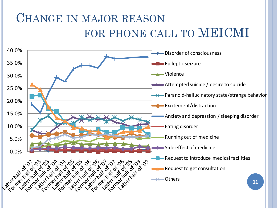# CHANGE IN MAJOR REASON FOR PHONE CALL TO MEICMI

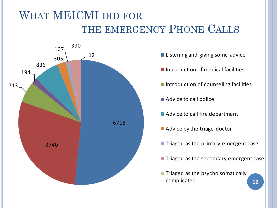## WHAT MEICMI DID FOR THE EMERGENCY PHONE CALLS



- 12 **Listening and giving some advice** 
	- $\blacksquare$  Introduction of medical facilities
	- Introduction of counseling facilities
	- Advice to call police
	- Advice to call fire department
	- Advice by the triage-doctor
	- $\blacksquare$  Triaged as the primary emergent case
	- **Triaged as the secondary emergent case**

**12**

 $\blacksquare$  Triaged as the psycho somatically complicated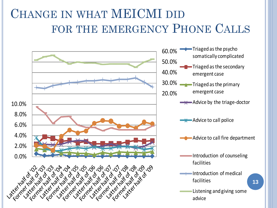# CHANGE IN WHAT MEICMI DID FOR THE EMERGENCY PHONE CALLS

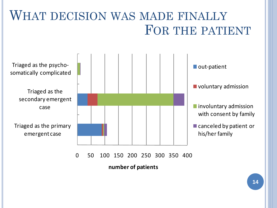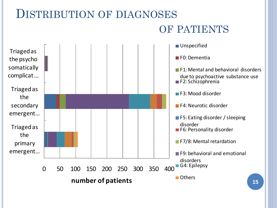# DISTRIBUTION OF DIAGNOSES

#### OF PATIENTS

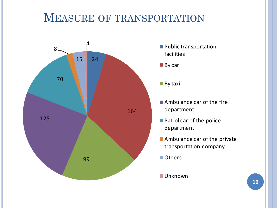#### MEASURE OF TRANSPORTATION



- facilities
- **By car**
- **By taxi**
- Ambulance car of the fire department
- **Patrol car of the police** department
- Ambulance car of the private transportation company
- **Others**
- Unknown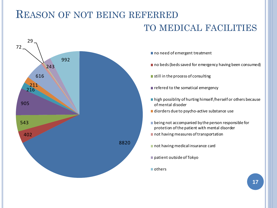#### REASON OF NOT BEING REFERRED TO MEDICAL FACILITIES